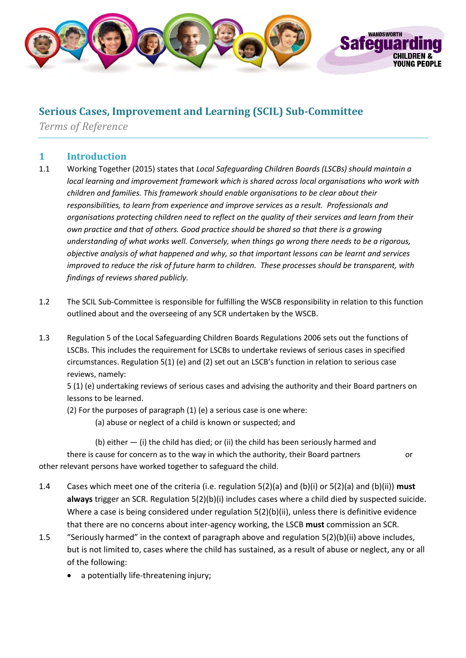

## **Serious Cases, Improvement and Learning (SCIL) Sub-Committee**

*Terms of Reference*

### **1 Introduction**

- 1.1 Working Together (2015) states that *Local Safeguarding Children Boards (LSCBs) should maintain a local learning and improvement framework which is shared across local organisations who work with children and families. This framework should enable organisations to be clear about their responsibilities, to learn from experience and improve services as a result. Professionals and organisations protecting children need to reflect on the quality of their services and learn from their own practice and that of others. Good practice should be shared so that there is a growing understanding of what works well. Conversely, when things go wrong there needs to be a rigorous, objective analysis of what happened and why, so that important lessons can be learnt and services improved to reduce the risk of future harm to children. These processes should be transparent, with findings of reviews shared publicly.*
- 1.2 The SCIL Sub-Committee is responsible for fulfilling the WSCB responsibility in relation to this function outlined about and the overseeing of any SCR undertaken by the WSCB.
- 1.3 Regulation 5 of the Local Safeguarding Children Boards Regulations 2006 sets out the functions of LSCBs. This includes the requirement for LSCBs to undertake reviews of serious cases in specified circumstances. Regulation 5(1) (e) and (2) set out an LSCB's function in relation to serious case reviews, namely:

5 (1) (e) undertaking reviews of serious cases and advising the authority and their Board partners on lessons to be learned.

(2) For the purposes of paragraph (1) (e) a serious case is one where:

(a) abuse or neglect of a child is known or suspected; and

 (b) either — (i) the child has died; or (ii) the child has been seriously harmed and there is cause for concern as to the way in which the authority, their Board partners or other relevant persons have worked together to safeguard the child.

- 1.4 Cases which meet one of the criteria (i.e. regulation 5(2)(a) and (b)(i) or 5(2)(a) and (b)(ii)) **must always** trigger an SCR. Regulation 5(2)(b)(i) includes cases where a child died by suspected suicide. Where a case is being considered under regulation  $5(2)(b)(ii)$ , unless there is definitive evidence that there are no concerns about inter-agency working, the LSCB **must** commission an SCR.
- 1.5 "Seriously harmed" in the context of paragraph above and regulation 5(2)(b)(ii) above includes, but is not limited to, cases where the child has sustained, as a result of abuse or neglect, any or all of the following:
	- a potentially life-threatening injury;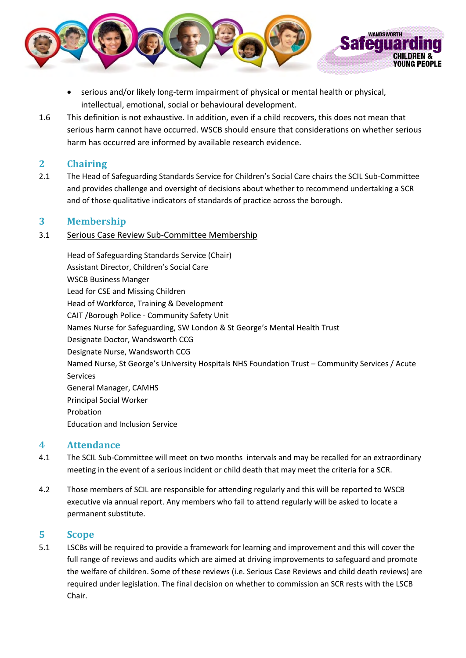

- serious and/or likely long-term impairment of physical or mental health or physical, intellectual, emotional, social or behavioural development.
- 1.6 This definition is not exhaustive. In addition, even if a child recovers, this does not mean that serious harm cannot have occurred. WSCB should ensure that considerations on whether serious harm has occurred are informed by available research evidence.

#### **2 Chairing**

2.1 The Head of Safeguarding Standards Service for Children's Social Care chairs the SCIL Sub-Committee and provides challenge and oversight of decisions about whether to recommend undertaking a SCR and of those qualitative indicators of standards of practice across the borough.

#### **3 Membership**

#### 3.1 Serious Case Review Sub-Committee Membership

Head of Safeguarding Standards Service (Chair) Assistant Director, Children's Social Care WSCB Business Manger Lead for CSE and Missing Children Head of Workforce, Training & Development CAIT /Borough Police - Community Safety Unit Names Nurse for Safeguarding, SW London & St George's Mental Health Trust Designate Doctor, Wandsworth CCG Designate Nurse, Wandsworth CCG Named Nurse, St George's University Hospitals NHS Foundation Trust – Community Services / Acute Services General Manager, CAMHS Principal Social Worker Probation Education and Inclusion Service

#### **4 Attendance**

- 4.1 The SCIL Sub-Committee will meet on two months intervals and may be recalled for an extraordinary meeting in the event of a serious incident or child death that may meet the criteria for a SCR.
- 4.2 Those members of SCIL are responsible for attending regularly and this will be reported to WSCB executive via annual report. Any members who fail to attend regularly will be asked to locate a permanent substitute.

#### **5 Scope**

5.1 LSCBs will be required to provide a framework for learning and improvement and this will cover the full range of reviews and audits which are aimed at driving improvements to safeguard and promote the welfare of children. Some of these reviews (i.e. Serious Case Reviews and child death reviews) are required under legislation. The final decision on whether to commission an SCR rests with the LSCB Chair.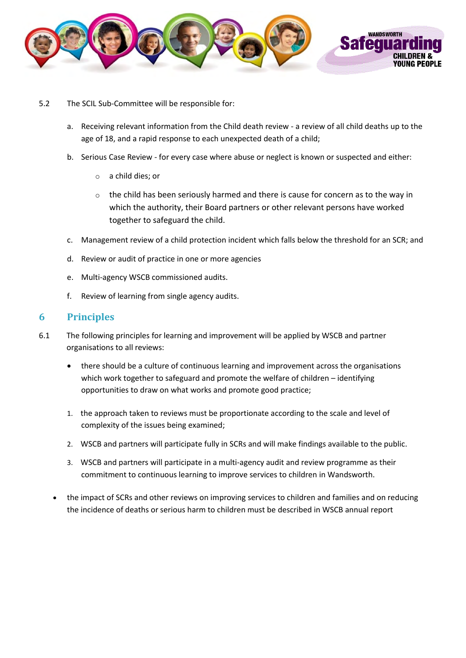

- 5.2 The SCIL Sub-Committee will be responsible for:
	- a. Receiving relevant information from the Child death review a review of all child deaths up to the age of 18, and a rapid response to each unexpected death of a child;
	- b. Serious Case Review for every case where abuse or neglect is known or suspected and either:
		- o a child dies; or
		- $\circ$  the child has been seriously harmed and there is cause for concern as to the way in which the authority, their Board partners or other relevant persons have worked together to safeguard the child.
	- c. Management review of a child protection incident which falls below the threshold for an SCR; and
	- d. Review or audit of practice in one or more agencies
	- e. Multi-agency WSCB commissioned audits.
	- f. Review of learning from single agency audits.

#### **6 Principles**

- 6.1 The following principles for learning and improvement will be applied by WSCB and partner organisations to all reviews:
	- there should be a culture of continuous learning and improvement across the organisations which work together to safeguard and promote the welfare of children – identifying opportunities to draw on what works and promote good practice;
	- 1. the approach taken to reviews must be proportionate according to the scale and level of complexity of the issues being examined;
	- 2. WSCB and partners will participate fully in SCRs and will make findings available to the public.
	- 3. WSCB and partners will participate in a multi-agency audit and review programme as their commitment to continuous learning to improve services to children in Wandsworth.
	- the impact of SCRs and other reviews on improving services to children and families and on reducing the incidence of deaths or serious harm to children must be described in WSCB annual report